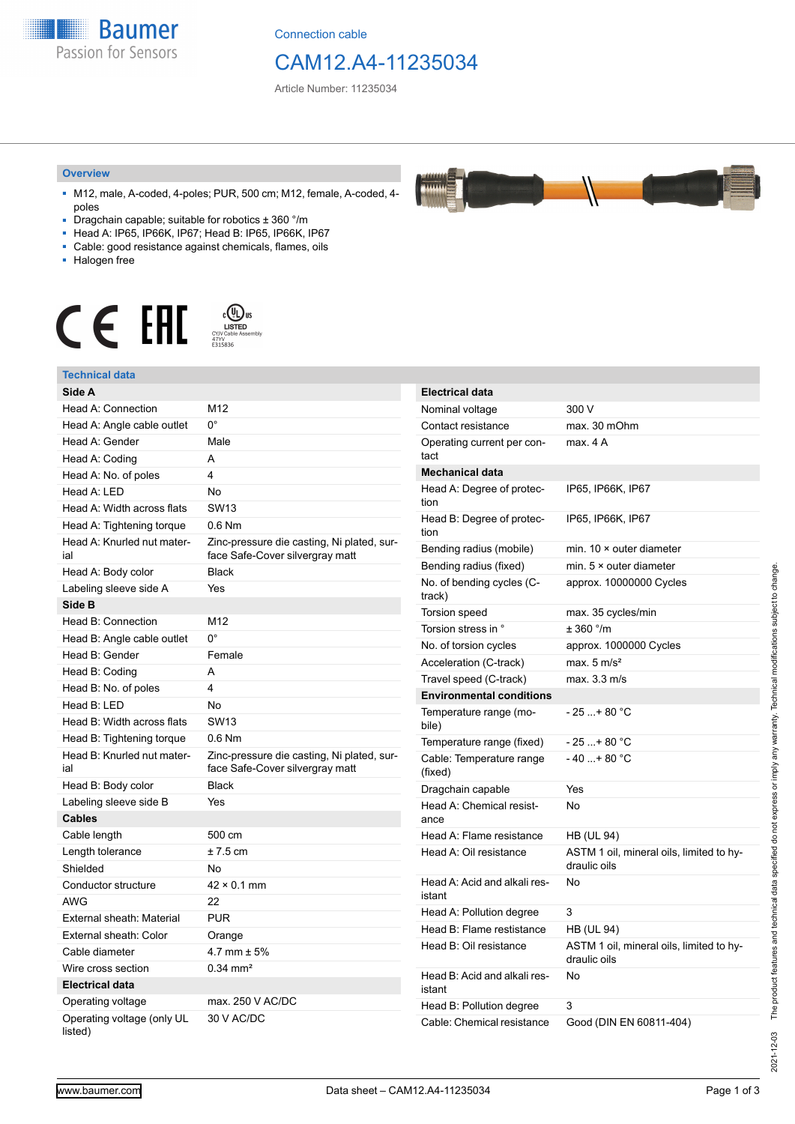**Baumer** Passion for Sensors

Connection cable

# CAM12.A4-11235034

Article Number: 11235034

#### **Overview**

- M12, male, A-coded, 4-poles; PUR, 500 cm; M12, female, A-coded, 4 poles
- Dragchain capable; suitable for robotics ± 360 °/m
- Head A: IP65, IP66K, IP67; Head B: IP65, IP66K, IP67
- Cable: good resistance against chemicals, flames, oils
- Halogen free



#### **Technical data**

| Technical data                        |                                                                               |                                        |                                          |
|---------------------------------------|-------------------------------------------------------------------------------|----------------------------------------|------------------------------------------|
| Side A                                |                                                                               | <b>Electrical data</b>                 |                                          |
| Head A: Connection                    | M12                                                                           | Nominal voltage                        | 300 V                                    |
| Head A: Angle cable outlet            | $0^{\circ}$                                                                   | Contact resistance                     | max. 30 mOhm                             |
| Head A: Gender                        | Male                                                                          | Operating current per con-<br>tact     | max. 4 A                                 |
| Head A: Coding                        | A                                                                             |                                        |                                          |
| Head A: No. of poles                  | 4                                                                             | <b>Mechanical data</b>                 |                                          |
| Head A: LED                           | No                                                                            | Head A: Degree of protec-              | IP65, IP66K, IP67                        |
| Head A: Width across flats            | SW <sub>13</sub>                                                              | tion                                   |                                          |
| Head A: Tightening torque             | 0.6 Nm                                                                        | Head B: Degree of protec-<br>tion      | IP65, IP66K, IP67                        |
| Head A: Knurled nut mater-<br>ial     | Zinc-pressure die casting, Ni plated, sur-<br>face Safe-Cover silvergray matt | Bending radius (mobile)                | min. $10 \times$ outer diameter          |
| Head A: Body color                    | <b>Black</b>                                                                  | Bending radius (fixed)                 | min. $5 \times$ outer diameter           |
| Labeling sleeve side A                | Yes                                                                           | No. of bending cycles (C-              | approx. 10000000 Cycles                  |
| Side B                                |                                                                               | track)                                 |                                          |
| Head B: Connection                    | M12                                                                           | Torsion speed                          | max. 35 cycles/min                       |
| Head B: Angle cable outlet            | $0^{\circ}$                                                                   | Torsion stress in °                    | ± 360 °/m                                |
| Head B: Gender                        | Female                                                                        | No. of torsion cycles                  | approx. 1000000 Cycles                   |
| Head B: Coding                        | A                                                                             | Acceleration (C-track)                 | max. $5 \text{ m/s}^2$                   |
| Head B: No. of poles                  | 4                                                                             | Travel speed (C-track)                 | max. 3.3 m/s                             |
| Head B: LED                           | No                                                                            | <b>Environmental conditions</b>        |                                          |
| Head B: Width across flats            | <b>SW13</b>                                                                   | Temperature range (mo-<br>bile)        | $-25+80 °C$                              |
| Head B: Tightening torque             | $0.6$ Nm                                                                      | Temperature range (fixed)              | $-25+80 °C$                              |
| Head B: Knurled nut mater-            | Zinc-pressure die casting, Ni plated, sur-                                    | Cable: Temperature range               | $-40+80 °C$                              |
| ial                                   | face Safe-Cover silvergray matt                                               | (fixed)                                |                                          |
| Head B: Body color                    | <b>Black</b>                                                                  | Dragchain capable                      | Yes                                      |
| Labeling sleeve side B                | Yes                                                                           | Head A: Chemical resist-               | No                                       |
| <b>Cables</b>                         |                                                                               | ance                                   |                                          |
| Cable length                          | 500 cm                                                                        | Head A: Flame resistance               | <b>HB (UL 94)</b>                        |
| Length tolerance                      | $± 7.5$ cm                                                                    | Head A: Oil resistance                 | ASTM 1 oil, mineral oils, limited to hy- |
| Shielded                              | No                                                                            |                                        | draulic oils                             |
| Conductor structure                   | $42 \times 0.1$ mm                                                            | Head A: Acid and alkali res-<br>istant | No                                       |
| <b>AWG</b>                            | 22                                                                            | Head A: Pollution degree               | 3                                        |
| External sheath: Material             | <b>PUR</b>                                                                    | Head B: Flame restistance              | <b>HB (UL 94)</b>                        |
| External sheath: Color                | Orange                                                                        | Head B: Oil resistance                 | ASTM 1 oil, mineral oils, limited to hy- |
| Cable diameter                        | 4.7 mm $\pm$ 5%                                                               |                                        | draulic oils                             |
| Wire cross section                    | $0.34 \, \text{mm}^2$                                                         | Head B: Acid and alkali res-           | No                                       |
| <b>Electrical data</b>                |                                                                               | istant                                 |                                          |
| Operating voltage                     | max. 250 V AC/DC                                                              | Head B: Pollution degree               | 3                                        |
| Operating voltage (only UL<br>listed) | 30 V AC/DC                                                                    | Cable: Chemical resistance             | Good (DIN EN 60811-404)                  |

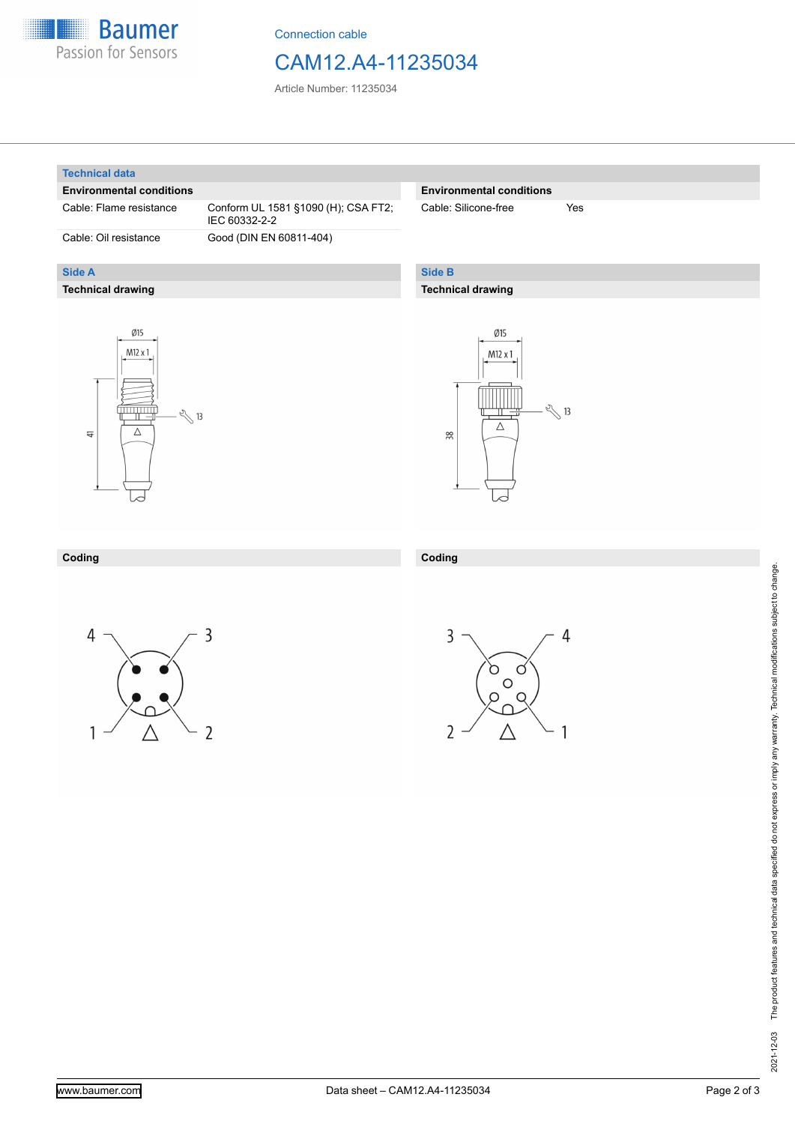

Connection cable

## CAM12.A4-11235034

Article Number: 11235034

#### **Technical data**

**Side A**

#### **Environmental conditions**

**Technical drawing**

Cable: Flame resistance Conform UL 1581 §1090 (H); CSA FT2; IEC 60332-2-2 Cable: Oil resistance Good (DIN EN 60811-404)

#### **Environmental conditions**

Cable: Silicone-free Yes

### **Side B**

**Coding**

#### **Technical drawing**





#### **Coding**